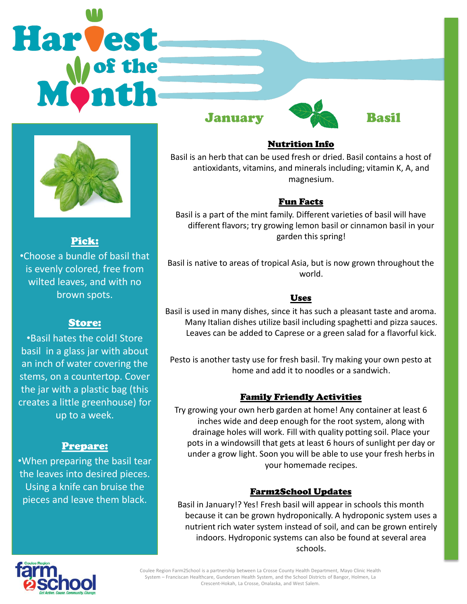# Harvest January Basil



Pick:

•Choose a bundle of basil that is evenly colored, free from wilted leaves, and with no brown spots.

#### Store:

•Basil hates the cold! Store basil in a glass jar with about an inch of water covering the stems, on a countertop. Cover the jar with a plastic bag (this creates a little greenhouse) for up to a week.

# Prepare:

•When preparing the basil tear the leaves into desired pieces. Using a knife can bruise the pieces and leave them black.





## Nutrition Info

Basil is an herb that can be used fresh or dried. Basil contains a host of antioxidants, vitamins, and minerals including; vitamin K, A, and magnesium.

#### Fun Facts

Basil is a part of the mint family. Different varieties of basil will have different flavors; try growing lemon basil or cinnamon basil in your garden this spring!

Basil is native to areas of tropical Asia, but is now grown throughout the world.

## Uses

Basil is used in many dishes, since it has such a pleasant taste and aroma. Many Italian dishes utilize basil including spaghetti and pizza sauces. Leaves can be added to Caprese or a green salad for a flavorful kick.

Pesto is another tasty use for fresh basil. Try making your own pesto at home and add it to noodles or a sandwich.

# Family Friendly Activities

Try growing your own herb garden at home! Any container at least 6 inches wide and deep enough for the root system, along with drainage holes will work. Fill with quality potting soil. Place your pots in a windowsill that gets at least 6 hours of sunlight per day or under a grow light. Soon you will be able to use your fresh herbs in your homemade recipes.

#### Farm2School Updates

Basil in January!? Yes! Fresh basil will appear in schools this month because it can be grown hydroponically. A hydroponic system uses a nutrient rich water system instead of soil, and can be grown entirely indoors. Hydroponic systems can also be found at several area schools.



Coulee Region Farm2School is a partnership between La Crosse County Health Department, Mayo Clinic Health System – Franciscan Healthcare, Gundersen Health System, and the School Districts of Bangor, Holmen, La Crescent-Hokah, La Crosse, Onalaska, and West Salem.